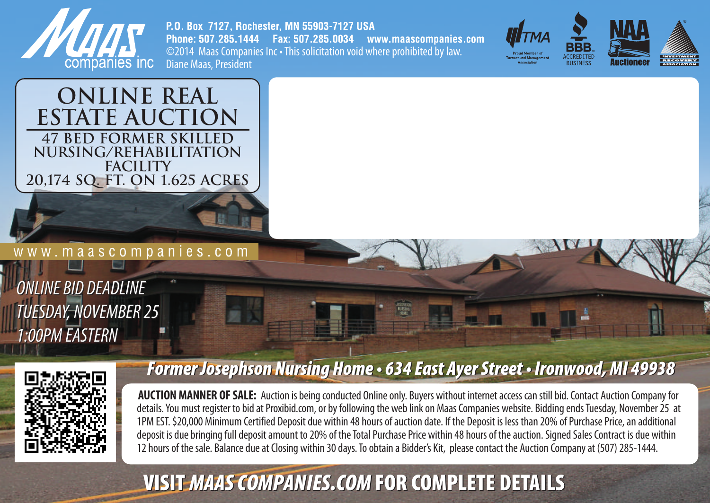

P.O. Box 7127, Rochester, MN 55903-7127 USA Phone: 507,285,1444 Fax: 507,285,0034 www.maascompanies.com ©2014 Maas Companies Inc • This solicitation void where prohibited by law. Diane Maas, President







w w w . m a a s c o m p a n i e s . c o m

*ONLINE BID DEADLINE ONLINE BID DEADLINE* TUESDAY, NOVEMBER 25<br>1:00PM EASTERN *1:00PM EASTERN*



## *Former Josephson Nursing Home • 634 East Ayer Street • Ironwood, MI 49938 Former Josephson Nursing Home • 634 East Ayer • Ironwood, MI*

**AUCTION MANNER OF SALE:** Auction is being conducted Online only. Buyers without internet access can still bid. Contact Auction Company for details. You must register to bid at Proxibid.com, or by following the web link on Maas Companies website. Bidding ends Tuesday, November 25 at 1PM EST. \$20,000 Minimum Certified Deposit due within 48 hours of auction date. If the Deposit is less than 20% of Purchase Price, an additional deposit is due bringing full deposit amount to 20% of the Total Purchase Price within 48 hours of the auction. Signed Sales Contract is due within 12 hours of the sale. Balance due at Closing within 30 days. To obtain a Bidder's Kit, please contact the Auction Company at (507) 285-1444.

## **VISIT MAAS COMPANIES.COM FOR COMPLETE DETAILS**